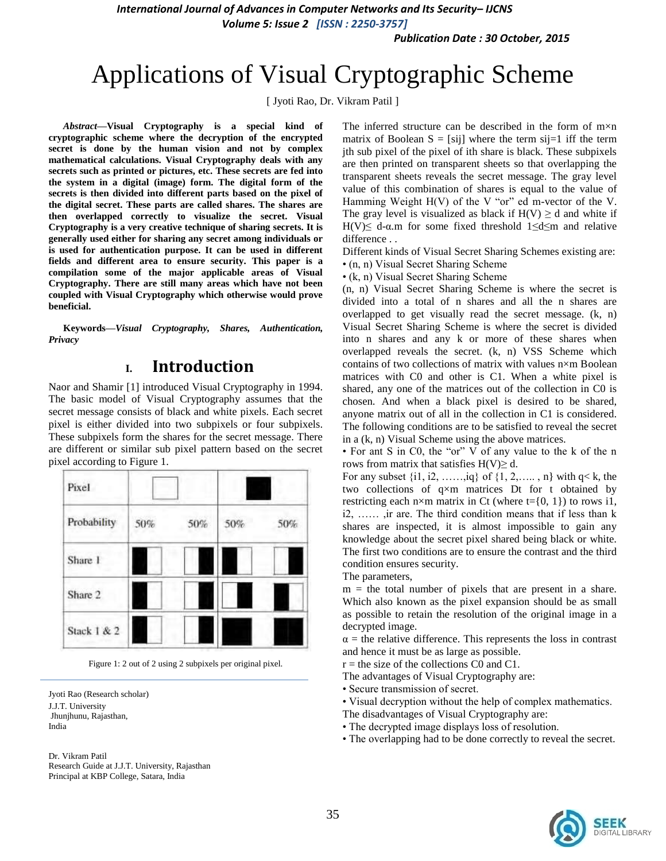*Publication Date : 30 October, 2015*

# Applications of Visual Cryptographic Scheme

[ Jyoti Rao, Dr. Vikram Patil ]

*Abstract***—Visual Cryptography is a special kind of cryptographic scheme where the decryption of the encrypted secret is done by the human vision and not by complex mathematical calculations. Visual Cryptography deals with any secrets such as printed or pictures, etc. These secrets are fed into the system in a digital (image) form. The digital form of the secrets is then divided into different parts based on the pixel of the digital secret. These parts are called shares. The shares are then overlapped correctly to visualize the secret. Visual Cryptography is a very creative technique of sharing secrets. It is generally used either for sharing any secret among individuals or is used for authentication purpose. It can be used in different fields and different area to ensure security. This paper is a compilation some of the major applicable areas of Visual Cryptography. There are still many areas which have not been coupled with Visual Cryptography which otherwise would prove beneficial.** 

**Keywords—***Visual Cryptography, Shares, Authentication, Privacy*

## **I. Introduction**

Naor and Shamir [1] introduced Visual Cryptography in 1994. The basic model of Visual Cryptography assumes that the secret message consists of black and white pixels. Each secret pixel is either divided into two subpixels or four subpixels. These subpixels form the shares for the secret message. There are different or similar sub pixel pattern based on the secret pixel according to Figure 1.

| Pixel       |     |     |     |     |
|-------------|-----|-----|-----|-----|
| Probability | 50% | 50% | 50% | 50% |
| Share 1     |     |     |     |     |
| Share 2     |     |     |     |     |
| Stack 1 & 2 |     |     |     |     |

Figure 1: 2 out of 2 using 2 subpixels per original pixel.

Jyoti Rao (Research scholar) J.J.T. University Jhunjhunu, Rajasthan, India

Dr. Vikram Patil Research Guide at J.J.T. University, Rajasthan Principal at KBP College, Satara, India

The inferred structure can be described in the form of m×n matrix of Boolean  $S = [sij]$  where the term sij=1 iff the term jth sub pixel of the pixel of ith share is black. These subpixels are then printed on transparent sheets so that overlapping the transparent sheets reveals the secret message. The gray level value of this combination of shares is equal to the value of Hamming Weight  $H(V)$  of the V "or" ed m-vector of the V. The gray level is visualized as black if  $H(V) \ge d$  and white if H(V) $\leq$  d- $\alpha$ .m for some fixed threshold 1 $\leq$ d $\leq$ m and relative difference . .

Different kinds of Visual Secret Sharing Schemes existing are: • (n, n) Visual Secret Sharing Scheme

• (k, n) Visual Secret Sharing Scheme

(n, n) Visual Secret Sharing Scheme is where the secret is divided into a total of n shares and all the n shares are overlapped to get visually read the secret message. (k, n) Visual Secret Sharing Scheme is where the secret is divided into n shares and any k or more of these shares when overlapped reveals the secret. (k, n) VSS Scheme which contains of two collections of matrix with values n×m Boolean matrices with C0 and other is C1. When a white pixel is shared, any one of the matrices out of the collection in C0 is chosen. And when a black pixel is desired to be shared, anyone matrix out of all in the collection in C1 is considered. The following conditions are to be satisfied to reveal the secret in a (k, n) Visual Scheme using the above matrices.

• For ant S in C0, the "or" V of any value to the k of the n rows from matrix that satisfies  $H(V) \geq d$ .

For any subset  $\{i1, i2, \ldots, iq\}$  of  $\{1, 2, \ldots, n\}$  with  $q < k$ , the two collections of q×m matrices Dt for t obtained by restricting each n×m matrix in Ct (where  $t = \{0, 1\}$ ) to rows i1, i2, …… ,ir are. The third condition means that if less than k shares are inspected, it is almost impossible to gain any knowledge about the secret pixel shared being black or white. The first two conditions are to ensure the contrast and the third condition ensures security.

The parameters,

 $m =$  the total number of pixels that are present in a share. Which also known as the pixel expansion should be as small as possible to retain the resolution of the original image in a decrypted image.

 $\alpha$  = the relative difference. This represents the loss in contrast and hence it must be as large as possible.

 $r =$  the size of the collections C0 and C1.

- The advantages of Visual Cryptography are:
- Secure transmission of secret.
- Visual decryption without the help of complex mathematics.
- The disadvantages of Visual Cryptography are:
- The decrypted image displays loss of resolution.
- The overlapping had to be done correctly to reveal the secret.

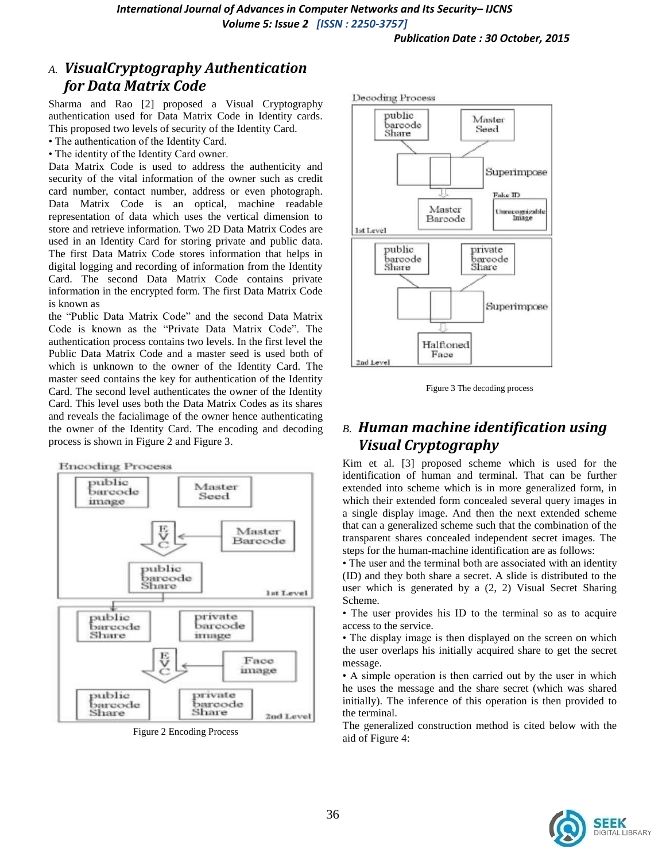### *A. VisualCryptography Authentication for Data Matrix Code*

Sharma and Rao [2] proposed a Visual Cryptography authentication used for Data Matrix Code in Identity cards. This proposed two levels of security of the Identity Card.

- The authentication of the Identity Card.
- The identity of the Identity Card owner.

Data Matrix Code is used to address the authenticity and security of the vital information of the owner such as credit card number, contact number, address or even photograph. Data Matrix Code is an optical, machine readable representation of data which uses the vertical dimension to store and retrieve information. Two 2D Data Matrix Codes are used in an Identity Card for storing private and public data. The first Data Matrix Code stores information that helps in digital logging and recording of information from the Identity Card. The second Data Matrix Code contains private information in the encrypted form. The first Data Matrix Code is known as

the "Public Data Matrix Code" and the second Data Matrix Code is known as the "Private Data Matrix Code". The authentication process contains two levels. In the first level the Public Data Matrix Code and a master seed is used both of which is unknown to the owner of the Identity Card. The master seed contains the key for authentication of the Identity Card. The second level authenticates the owner of the Identity Card. This level uses both the Data Matrix Codes as its shares and reveals the facialimage of the owner hence authenticating the owner of the Identity Card. The encoding and decoding process is shown in Figure 2 and Figure 3.



Figure 2 Encoding Process



Figure 3 The decoding process

## *B. Human machine identification using Visual Cryptography*

Kim et al. [3] proposed scheme which is used for the identification of human and terminal. That can be further extended into scheme which is in more generalized form, in which their extended form concealed several query images in a single display image. And then the next extended scheme that can a generalized scheme such that the combination of the transparent shares concealed independent secret images. The steps for the human-machine identification are as follows:

• The user and the terminal both are associated with an identity (ID) and they both share a secret. A slide is distributed to the user which is generated by a (2, 2) Visual Secret Sharing Scheme.

• The user provides his ID to the terminal so as to acquire access to the service.

• The display image is then displayed on the screen on which the user overlaps his initially acquired share to get the secret message.

• A simple operation is then carried out by the user in which he uses the message and the share secret (which was shared initially). The inference of this operation is then provided to the terminal.

The generalized construction method is cited below with the aid of Figure 4:

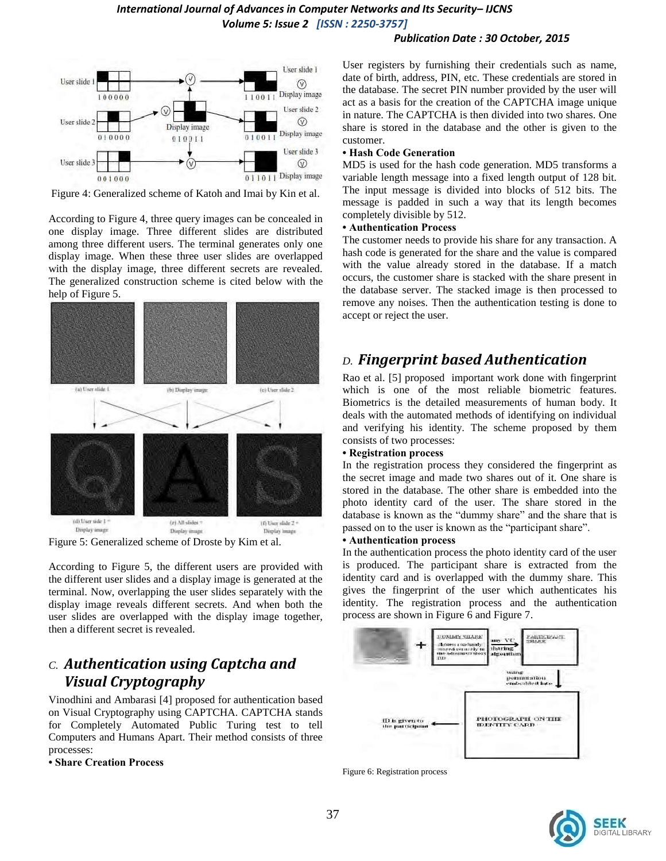#### *Publication Date : 30 October, 2015*



Figure 4: Generalized scheme of Katoh and Imai by Kin et al.

According to Figure 4, three query images can be concealed in one display image. Three different slides are distributed among three different users. The terminal generates only one display image. When these three user slides are overlapped with the display image, three different secrets are revealed. The generalized construction scheme is cited below with the help of Figure 5.



Figure 5: Generalized scheme of Droste by Kim et al.

According to Figure 5, the different users are provided with the different user slides and a display image is generated at the terminal. Now, overlapping the user slides separately with the display image reveals different secrets. And when both the user slides are overlapped with the display image together, then a different secret is revealed.

## *C. Authentication using Captcha and Visual Cryptography*

Vinodhini and Ambarasi [4] proposed for authentication based on Visual Cryptography using CAPTCHA. CAPTCHA stands for Completely Automated Public Turing test to tell Computers and Humans Apart. Their method consists of three processes:

#### **• Share Creation Process**

User registers by furnishing their credentials such as name, date of birth, address, PIN, etc. These credentials are stored in the database. The secret PIN number provided by the user will act as a basis for the creation of the CAPTCHA image unique in nature. The CAPTCHA is then divided into two shares. One share is stored in the database and the other is given to the customer.

#### **• Hash Code Generation**

MD5 is used for the hash code generation. MD5 transforms a variable length message into a fixed length output of 128 bit. The input message is divided into blocks of 512 bits. The message is padded in such a way that its length becomes completely divisible by 512.

#### **• Authentication Process**

The customer needs to provide his share for any transaction. A hash code is generated for the share and the value is compared with the value already stored in the database. If a match occurs, the customer share is stacked with the share present in the database server. The stacked image is then processed to remove any noises. Then the authentication testing is done to accept or reject the user.

# *D. Fingerprint based Authentication*

Rao et al. [5] proposed important work done with fingerprint which is one of the most reliable biometric features. Biometrics is the detailed measurements of human body. It deals with the automated methods of identifying on individual and verifying his identity. The scheme proposed by them consists of two processes:

#### **• Registration process**

In the registration process they considered the fingerprint as the secret image and made two shares out of it. One share is stored in the database. The other share is embedded into the photo identity card of the user. The share stored in the database is known as the "dummy share" and the share that is passed on to the user is known as the "participant share".

#### **• Authentication process**

In the authentication process the photo identity card of the user is produced. The participant share is extracted from the identity card and is overlapped with the dummy share. This gives the fingerprint of the user which authenticates his identity. The registration process and the authentication process are shown in Figure 6 and Figure 7.



Figure 6: Registration process

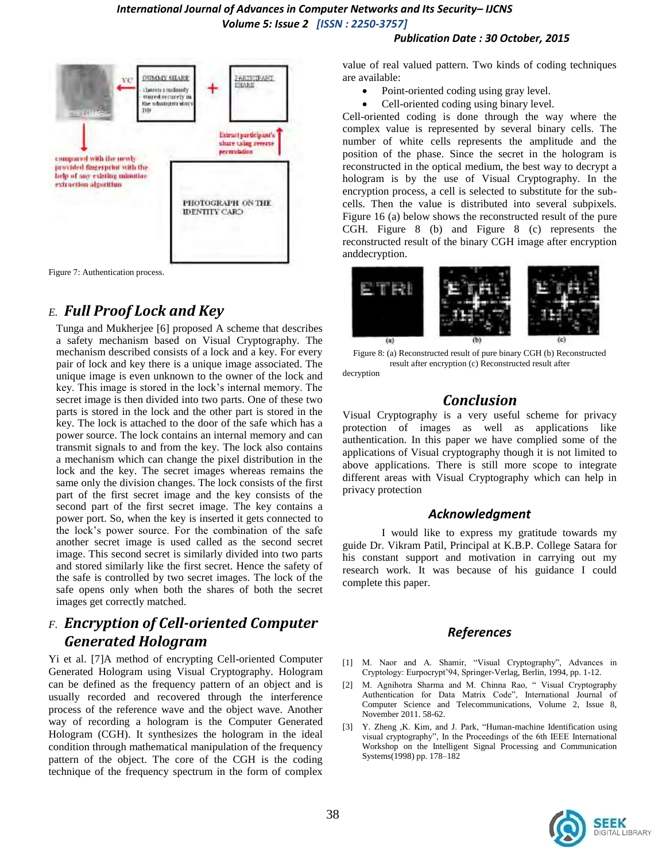#### **DUMMY SHARE** PARTICIPANY VC EHARE classes a midninfy ۰ stored securely in the administrator TIB Extract participant's share using reverse permutation compared with the newly provided fingerprint with the help of any existing minutias. extraction algorithm PHOTOGRAPH ON THE **IDENTITY CARD**

Figure 7: Authentication process.

# *E. Full Proof Lock and Key*

Tunga and Mukherjee [6] proposed A scheme that describes a safety mechanism based on Visual Cryptography. The mechanism described consists of a lock and a key. For every pair of lock and key there is a unique image associated. The unique image is even unknown to the owner of the lock and key. This image is stored in the lock's internal memory. The secret image is then divided into two parts. One of these two parts is stored in the lock and the other part is stored in the key. The lock is attached to the door of the safe which has a power source. The lock contains an internal memory and can transmit signals to and from the key. The lock also contains a mechanism which can change the pixel distribution in the lock and the key. The secret images whereas remains the same only the division changes. The lock consists of the first part of the first secret image and the key consists of the second part of the first secret image. The key contains a power port. So, when the key is inserted it gets connected to the lock's power source. For the combination of the safe another secret image is used called as the second secret image. This second secret is similarly divided into two parts and stored similarly like the first secret. Hence the safety of the safe is controlled by two secret images. The lock of the safe opens only when both the shares of both the secret images get correctly matched.

# *F. Encryption of Cell-oriented Computer Generated Hologram*

Yi et al. [7]A method of encrypting Cell-oriented Computer Generated Hologram using Visual Cryptography. Hologram can be defined as the frequency pattern of an object and is usually recorded and recovered through the interference process of the reference wave and the object wave. Another way of recording a hologram is the Computer Generated Hologram (CGH). It synthesizes the hologram in the ideal condition through mathematical manipulation of the frequency pattern of the object. The core of the CGH is the coding technique of the frequency spectrum in the form of complex

# *Publication Date : 30 October, 2015*

value of real valued pattern. Two kinds of coding techniques are available:

- Point-oriented coding using gray level.
- Cell-oriented coding using binary level.

Cell-oriented coding is done through the way where the complex value is represented by several binary cells. The number of white cells represents the amplitude and the position of the phase. Since the secret in the hologram is reconstructed in the optical medium, the best way to decrypt a hologram is by the use of Visual Cryptography. In the encryption process, a cell is selected to substitute for the subcells. Then the value is distributed into several subpixels. Figure 16 (a) below shows the reconstructed result of the pure CGH. Figure 8 (b) and Figure 8 (c) represents the reconstructed result of the binary CGH image after encryption anddecryption.



Figure 8: (a) Reconstructed result of pure binary CGH (b) Reconstructed result after encryption (c) Reconstructed result after decryption

### *Conclusion*

Visual Cryptography is a very useful scheme for privacy protection of images as well as applications like authentication. In this paper we have complied some of the applications of Visual cryptography though it is not limited to above applications. There is still more scope to integrate different areas with Visual Cryptography which can help in privacy protection

### *Acknowledgment*

I would like to express my gratitude towards my guide Dr. Vikram Patil, Principal at K.B.P. College Satara for his constant support and motivation in carrying out my research work. It was because of his guidance I could complete this paper.

### *References*

- [1] M. Naor and A. Shamir, "Visual Cryptography", Advances in Cryptology: Eurpocrypt'94, Springer-Verlag, Berlin, 1994, pp. 1-12.
- [2] M. Agnihotra Sharma and M. Chinna Rao, " Visual Cryptography Authentication for Data Matrix Code", International Journal of Computer Science and Telecommunications, Volume 2, Issue 8, November 2011. 58-62.
- [3] Y. Zheng ,K. Kim, and J. Park, "Human-machine Identification using visual cryptography", In the Proceedings of the 6th IEEE International Workshop on the Intelligent Signal Processing and Communication Systems(1998) pp. 178–182